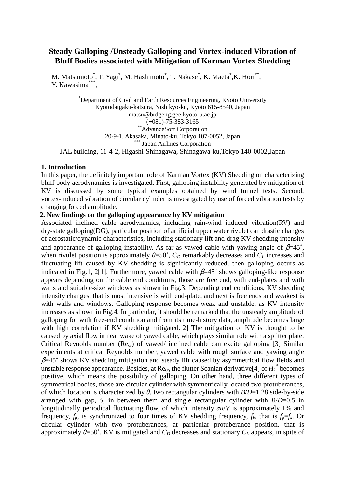# **Steady Galloping /Unsteady Galloping and Vortex-induced Vibration of Bluff Bodies associated with Mitigation of Karman Vortex Shedding**

M. Matsumoto\*, T. Yagi\*, M. Hashimoto\*, T. Nakase\*, K. Maeta\*,K. Hori\*\*, Y. Kawasima\*\*\*,

\*Department of Civil and Earth Resources Engineering, Kyoto University Kyotodaigaku-katsura, Nishikyo-ku, Kyoto 615-8540, Japan matsu@brdgeng.gee.kyoto-u.ac.jp (+081)-75-383-3165 \*\*AdvanceSoft Corporation 20-9-1, Akasaka, Minato-ku, Tokyo 107-0052, Japan Japan Airlines Corporation JAL building, 11-4-2, Higashi-Shinagawa, Shinagawa-ku,Tokyo 140-0002,Japan

### **1. Introduction**

In this paper, the definitely important role of Karman Vortex (KV) Shedding on characterizing bluff body aerodynamics is investigated. First, galloping instability generated by mitigation of KV is discussed by some typical examples obtained by wind tunnel tests. Second, vortex-induced vibration of circular cylinder is investigated by use of forced vibration tests by changing forced amplitude.

## **2. New findings on the galloping appearance by KV mitigation**

Associated inclined cable aerodynamics, including rain-wind induced vibration(RV) and dry-state galloping(DG), particular position of artificial upper water rivulet can drastic changes of aerostatic/dynamic characteristics, including stationary lift and drag KV shedding intensity and appearance of galloping instability. As far as yawed cable with yawing angle of  $\beta = 45^\circ$ , when rivulet position is approximately  $\theta = 50^{\circ}$ ,  $C_D$  remarkably decreases and  $C_L$  increases and fluctuating lift caused by KV shedding is significantly reduced, then galloping occurs as indicated in Fig.1, 2[1]. Furthermore, yawed cable with  $\beta$ =45° shows galloping-like response appears depending on the cable end conditions, those are free end, with end-plates and with walls and suitable-size windows as shown in Fig.3. Depending end conditions, KV shedding intensity changes, that is most intensive is with end-plate, and next is free ends and weakest is with walls and windows. Galloping response becomes weak and unstable, as KV intensity increases as shown in Fig.4. In particular, it should be remarked that the unsteady amplitude of galloping for with free-end condition and from its time-history data, amplitude becomes large with high correlation if KV shedding mitigated.[2] The mitigation of KV is thought to be caused by axial flow in near wake of yawed cable, which plays similar role with a splitter plate. Critical Reynolds number ( $\text{Re}_{cr}$ ) of yawed/ inclined cable can excite galloping [3] Similar experiments at critical Reynolds number, yawed cable with rough surface and yawing angle  $\beta$ =45° shows KV shedding mitigation and steady lift caused by asymmetrical flow fields and unstable response appearance. Besides, at Re<sub>cr</sub>, the flutter Scanlan derivative<sup>[4]</sup> of  $H_I^*$  becomes positive, which means the possibility of galloping. On other hand, three different types of symmetrical bodies, those are circular cylinder with symmetrically located two protuberances, of which location is characterized by  $\theta$ , two rectangular cylinders with  $B/D=1.28$  side-by-side arranged with gap, *S*, in between them and single rectangular cylinder with *B*/*D*=0.5 in longitudinally periodical fluctuating flow, of which intensity σ*u*/*V* is approximately 1% and frequency,  $f_p$ , is synchronized to four times of KV shedding frequency,  $f_k$ , that is  $f_p = f_k$ . Or circular cylinder with two protuberances, at particular protuberance position, that is approximately  $\theta$ =50°, KV is mitigated and  $C_D$  decreases and stationary  $C_L$  appears, in spite of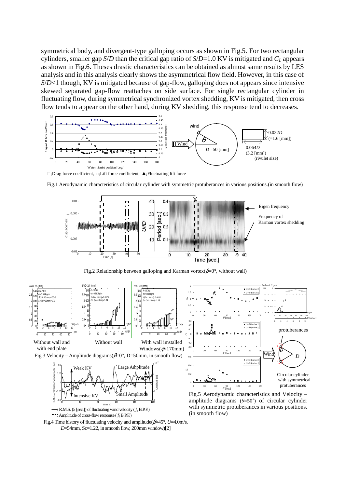symmetrical body, and divergent-type galloping occurs as shown in Fig.5. For two rectangular cylinders, smaller gap *S*/*D* than the critical gap ratio of *S*/*D*=1.0 KV is mitigated and *CL* appears as shown in Fig.6. Theses drastic characteristics can be obtained as almost same results by LES analysis and in this analysis clearly shows the asymmetrical flow field. However, in this case of *S*/*D*<1 though, KV is mitigated because of gap-flow, galloping does not appears since intensive skewed separated gap-flow reattaches on side surface. For single rectangular cylinder in fluctuating flow, during symmetrical synchronized vortex shedding, KV is mitigated, then cross flow tends to appear on the other hand, during KV shedding, this response tend to decreases.



;Drag force coefficient, □;Lift force coefficient, ▲;Fluctuating lift force





Fig.2 Relationship between galloping and Karman vortex( $\beta=0^{\circ}$ , without wall)



-4

amplitude diagrams  $(\theta=50^{\circ})$  of circular cylinder with symmetric protuberances in various positions. (in smooth flow)

 : Amplitude of cross-flow response ( *f*0 B.P.F.) Fig.4 Time history of fluctuating velocity and amplitude(β=45°, *U*=4.0m/s,

: R.M.S. (5 [sec.]) of fluctuating wind velocity ( *f*k B.P.F.)

-0.1

0 20 40 60 80 100

Time [s]

*D*=54mm, Sc=1.22, in smooth flow, 200mm window)[2]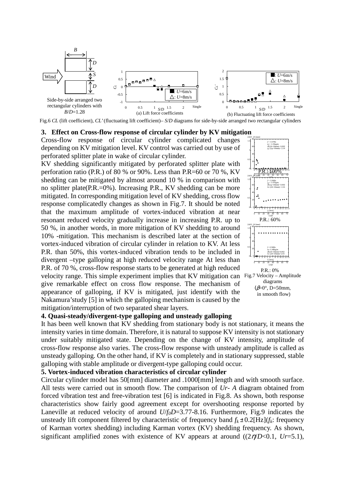

Fig.6 CL (lift coefficient), CL' (fluctuating lift coefficient)– *S/D* diagrams for side-by-side arranged two rectangular cylinders

#### **3. Effect on Cross-flow response of circular cylinder by KV mitigation**

Cross-flow response of circular cylinder complicated changes depending on KV mitigation level. KV control was carried out by use of perforated splitter plate in wake of circular cylinder.

KV shedding significantly mitigated by perforated splitter plate with perforation ratio (P.R.) of 80 % or 90%. Less than P.R=60 or 70 %, KV shedding can be mitigated by almost around 10 % in comparison with no splitter plate(P.R.=0%). Increasing P.R., KV shedding can be more mitigated. In corresponding mitigation level of KV shedding, cross flow response complicatedly changes as shown in Fig.7. It should be noted that the maximum amplitude of vortex-induced vibration at near resonant reduced velocity gradually increase in increasing P.R. up to 50 %, in another words, in more mitigation of KV shedding to around 10% -mitigation. This mechanism is described later at the section of vortex-induced vibration of circular cylinder in relation to KV. At less P.R. than 50%, this vortex-induced vibration tends to be included in divergent –type galloping at high reduced velocity range At less than P.R. of 70 %, cross-flow response starts to be generated at high reduced velocity range. This simple experiment implies that KV mitigation can Fig.7 Velocity – Amplitude give remarkable effect on cross flow response. The mechanism of appearance of galloping, if KV is mitigated, just identify with the Nakamura'study [5] in which the galloping mechanism is caused by the mitigation/interruption of two separated shear layers.



### **4. Quasi-steady/divergent-type galloping and unsteady galloping**

It has been well known that KV shedding from stationary body is not stationary, it means the intensity varies in time domain. Therefore, it is natural to suppose KV intensity is not stationary under suitably mitigated state. Depending on the change of KV intensity, amplitude of cross-flow response also varies. The cross-flow response with unsteady amplitude is called as unsteady galloping. On the other hand, if KV is completely and in stationary suppressed, stable galloping with stable amplitude or divergent-type galloping could occur.

## **5. Vortex-induced vibration characteristics of circular cylinder**

Circular cylinder model has 50[mm] diameter and .1000[mm] length and with smooth surface. All tests were carried out in smooth flow. The comparison of *Ur*- *A* diagram obtained from forced vibration test and free-vibration test [6] is indicated in Fig.8. As shown, both response characteristics show fairly good agreement except for overshooting response reported by Laneville at reduced velocity of around *U*/*f*<sub>0</sub>*D*=3.77-8.16. Furthermore, Fig.9 indicates the unsteady lift component filtered by characteristic of frequency band  $f_k \pm 0.2$  [Hz]( $f_k$ : frequency of Karman vortex shedding) including Karman vortex (KV) shedding frequency. As shown, significant amplified zones with existence of KV appears at around  $((2\eta/D<0.1, Ur=5.1))$ ,